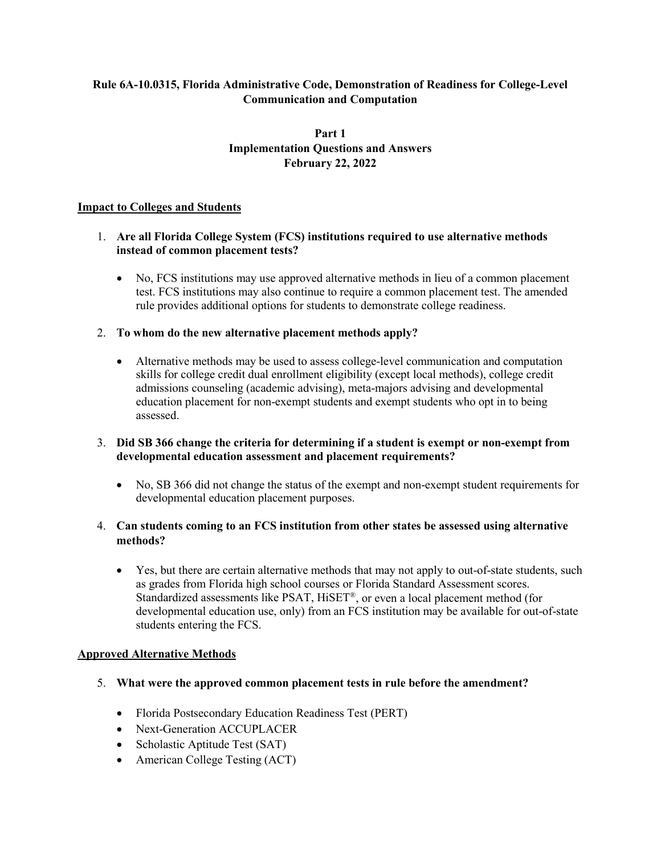### **Rule 6A-10.0315, Florida Administrative Code, Demonstration of Readiness for College-Level Communication and Computation**

### **Part 1 Implementation Questions and Answers February 22, 2022**

#### **Impact to Colleges and Students**

#### 1. **Are all Florida College System (FCS) institutions required to use alternative methods instead of common placement tests?**

• No, FCS institutions may use approved alternative methods in lieu of a common placement test. FCS institutions may also continue to require a common placement test. The amended rule provides additional options for students to demonstrate college readiness.

#### 2. **To whom do the new alternative placement methods apply?**

• Alternative methods may be used to assess college-level communication and computation skills for college credit dual enrollment eligibility (except local methods), college credit admissions counseling (academic advising), meta-majors advising and developmental education placement for non-exempt students and exempt students who opt in to being assessed.

### 3. **Did SB 366 change the criteria for determining if a student is exempt or non-exempt from developmental education assessment and placement requirements?**

• No, SB 366 did not change the status of the exempt and non-exempt student requirements for developmental education placement purposes.

### 4. **Can students coming to an FCS institution from other states be assessed using alternative methods?**

• Yes, but there are certain alternative methods that may not apply to out-of-state students, such as grades from Florida high school courses or Florida Standard Assessment scores. Standardized assessments like PSAT, HiSET®, or even a local placement method (for developmental education use, only) from an FCS institution may be available for out-of-state students entering the FCS.

#### **Approved Alternative Methods**

- 5. **What were the approved common placement tests in rule before the amendment?**
	- Florida Postsecondary Education Readiness Test (PERT)
	- Next-Generation ACCUPLACER
	- Scholastic Aptitude Test (SAT)
	- American College Testing (ACT)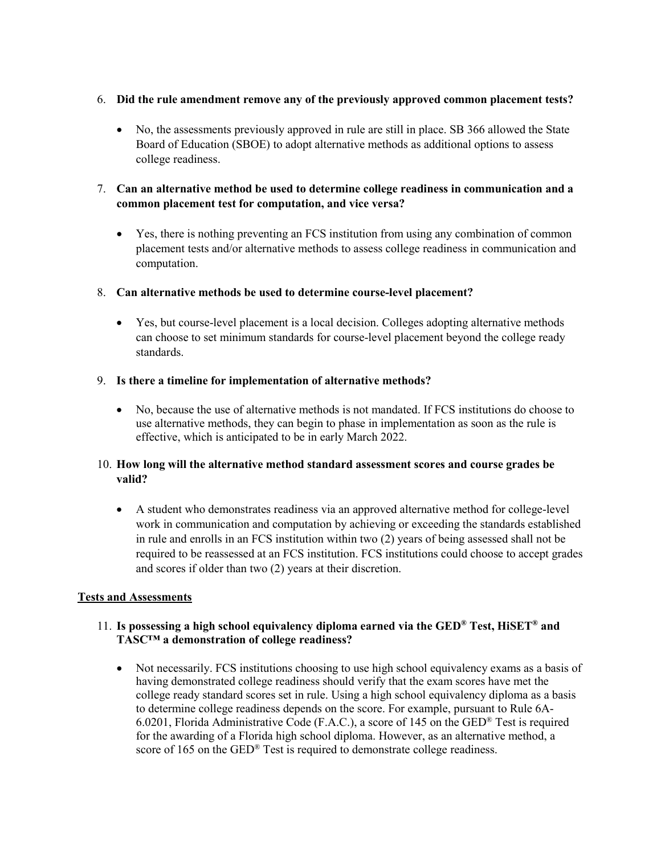### 6. **Did the rule amendment remove any of the previously approved common placement tests?**

• No, the assessments previously approved in rule are still in place. SB 366 allowed the State Board of Education (SBOE) to adopt alternative methods as additional options to assess college readiness.

### 7. **Can an alternative method be used to determine college readiness in communication and a common placement test for computation, and vice versa?**

• Yes, there is nothing preventing an FCS institution from using any combination of common placement tests and/or alternative methods to assess college readiness in communication and computation.

### 8. **Can alternative methods be used to determine course-level placement?**

• Yes, but course-level placement is a local decision. Colleges adopting alternative methods can choose to set minimum standards for course-level placement beyond the college ready standards.

### 9. **Is there a timeline for implementation of alternative methods?**

• No, because the use of alternative methods is not mandated. If FCS institutions do choose to use alternative methods, they can begin to phase in implementation as soon as the rule is effective, which is anticipated to be in early March 2022.

### 10. **How long will the alternative method standard assessment scores and course grades be valid?**

• A student who demonstrates readiness via an approved alternative method for college-level work in communication and computation by achieving or exceeding the standards established in rule and enrolls in an FCS institution within two (2) years of being assessed shall not be required to be reassessed at an FCS institution. FCS institutions could choose to accept grades and scores if older than two (2) years at their discretion.

#### **Tests and Assessments**

### 11. **Is possessing a high school equivalency diploma earned via the GED® Test, HiSET® and TASC™ a demonstration of college readiness?**

• Not necessarily. FCS institutions choosing to use high school equivalency exams as a basis of having demonstrated college readiness should verify that the exam scores have met the college ready standard scores set in rule. Using a high school equivalency diploma as a basis to determine college readiness depends on the score. For example, pursuant to Rule 6A-6.0201, Florida Administrative Code (F.A.C.), a score of 145 on the GED<sup>®</sup> Test is required for the awarding of a Florida high school diploma. However, as an alternative method, a score of 165 on the GED<sup>®</sup> Test is required to demonstrate college readiness.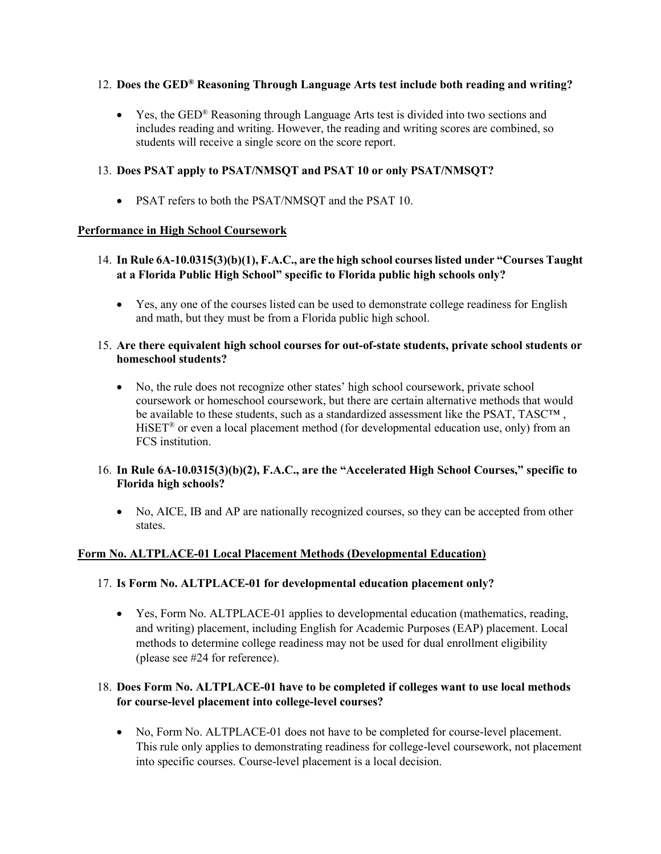### 12. **Does the GED® Reasoning Through Language Arts test include both reading and writing?**

• Yes, the GED<sup>®</sup> Reasoning through Language Arts test is divided into two sections and includes reading and writing. However, the reading and writing scores are combined, so students will receive a single score on the score report.

### 13. **Does PSAT apply to PSAT/NMSQT and PSAT 10 or only PSAT/NMSQT?**

• PSAT refers to both the PSAT/NMSQT and the PSAT 10.

### **Performance in High School Coursework**

- 14. **In Rule 6A-10.0315(3)(b)(1), F.A.C., are the high school courses listed under "Courses Taught at a Florida Public High School" specific to Florida public high schools only?**
	- Yes, any one of the courses listed can be used to demonstrate college readiness for English and math, but they must be from a Florida public high school.

#### 15. **Are there equivalent high school courses for out-of-state students, private school students or homeschool students?**

• No, the rule does not recognize other states' high school coursework, private school coursework or homeschool coursework, but there are certain alternative methods that would be available to these students, such as a standardized assessment like the PSAT, TASC<sup>TM</sup>, HiSET<sup>®</sup> or even a local placement method (for developmental education use, only) from an FCS institution.

### 16. **In Rule 6A-10.0315(3)(b)(2), F.A.C., are the "Accelerated High School Courses," specific to Florida high schools?**

• No, AICE, IB and AP are nationally recognized courses, so they can be accepted from other states.

### **Form No. ALTPLACE-01 Local Placement Methods (Developmental Education)**

#### 17. **Is Form No. ALTPLACE-01 for developmental education placement only?**

• Yes, Form No. ALTPLACE-01 applies to developmental education (mathematics, reading, and writing) placement, including English for Academic Purposes (EAP) placement. Local methods to determine college readiness may not be used for dual enrollment eligibility (please see #24 for reference).

### 18. **Does Form No. ALTPLACE-01 have to be completed if colleges want to use local methods for course-level placement into college-level courses?**

• No, Form No. ALTPLACE-01 does not have to be completed for course-level placement. This rule only applies to demonstrating readiness for college-level coursework, not placement into specific courses. Course-level placement is a local decision.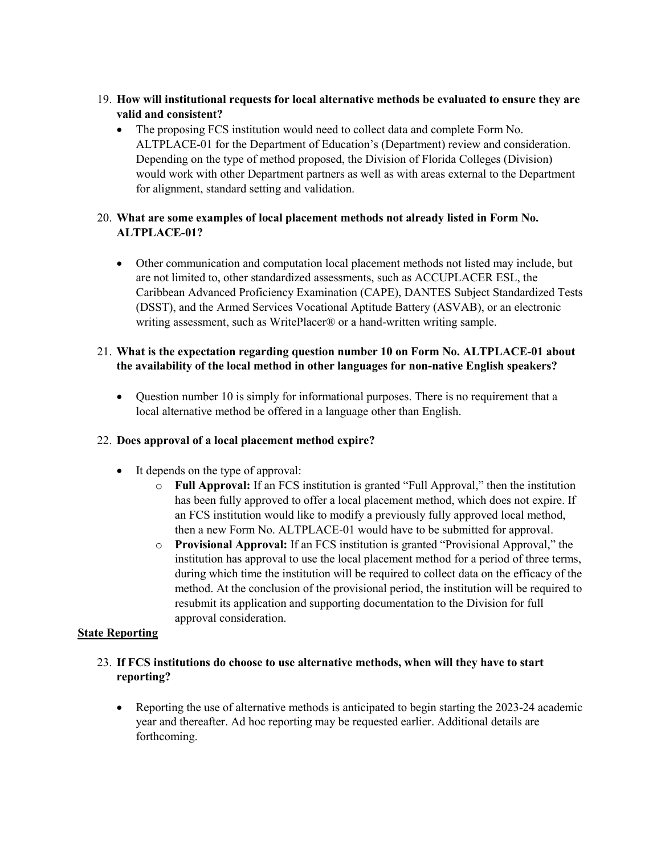- 19. **How will institutional requests for local alternative methods be evaluated to ensure they are valid and consistent?** 
	- The proposing FCS institution would need to collect data and complete Form No. ALTPLACE-01 for the Department of Education's (Department) review and consideration. Depending on the type of method proposed, the Division of Florida Colleges (Division) would work with other Department partners as well as with areas external to the Department for alignment, standard setting and validation.

## 20. **What are some examples of local placement methods not already listed in Form No. ALTPLACE-01?**

• Other communication and computation local placement methods not listed may include, but are not limited to, other standardized assessments, such as ACCUPLACER ESL, the Caribbean Advanced Proficiency Examination (CAPE), DANTES Subject Standardized Tests (DSST), and the Armed Services Vocational Aptitude Battery (ASVAB), or an electronic writing assessment, such as WritePlacer® or a hand-written writing sample.

# 21. **What is the expectation regarding question number 10 on Form No. ALTPLACE-01 about the availability of the local method in other languages for non-native English speakers?**

• Question number 10 is simply for informational purposes. There is no requirement that a local alternative method be offered in a language other than English.

### 22. **Does approval of a local placement method expire?**

- It depends on the type of approval:
	- o **Full Approval:** If an FCS institution is granted "Full Approval," then the institution has been fully approved to offer a local placement method, which does not expire. If an FCS institution would like to modify a previously fully approved local method, then a new Form No. ALTPLACE-01 would have to be submitted for approval.
	- o **Provisional Approval:** If an FCS institution is granted "Provisional Approval," the institution has approval to use the local placement method for a period of three terms, during which time the institution will be required to collect data on the efficacy of the method. At the conclusion of the provisional period, the institution will be required to resubmit its application and supporting documentation to the Division for full approval consideration.

### **State Reporting**

### 23. **If FCS institutions do choose to use alternative methods, when will they have to start reporting?**

• Reporting the use of alternative methods is anticipated to begin starting the 2023-24 academic year and thereafter. Ad hoc reporting may be requested earlier. Additional details are forthcoming.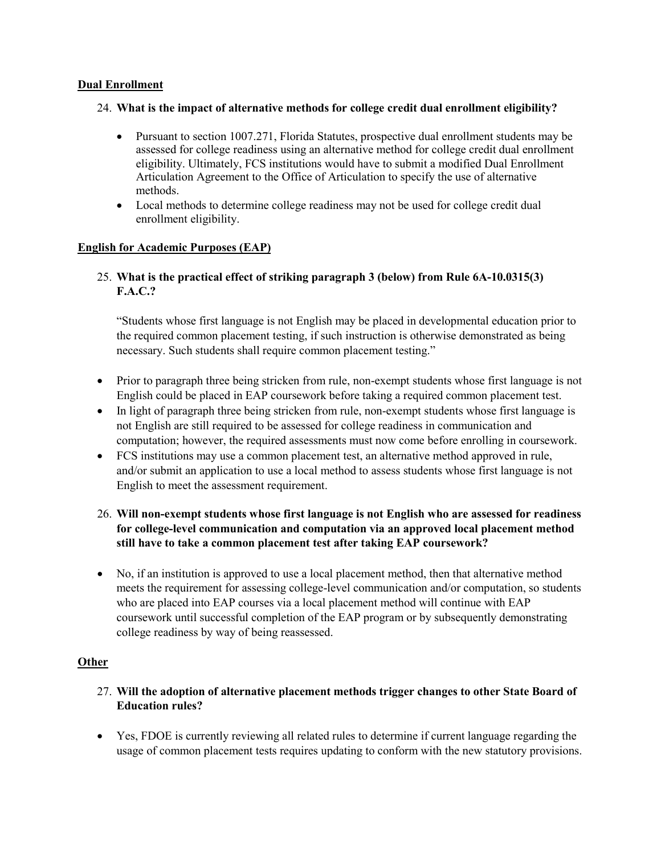#### **Dual Enrollment**

#### 24. **What is the impact of alternative methods for college credit dual enrollment eligibility?**

- Pursuant to section 1007.271, Florida Statutes, prospective dual enrollment students may be assessed for college readiness using an alternative method for college credit dual enrollment eligibility. Ultimately, FCS institutions would have to submit a modified Dual Enrollment Articulation Agreement to the Office of Articulation to specify the use of alternative methods.
- Local methods to determine college readiness may not be used for college credit dual enrollment eligibility.

### **English for Academic Purposes (EAP)**

## 25. **What is the practical effect of striking paragraph 3 (below) from Rule 6A-10.0315(3) F.A.C.?**

"Students whose first language is not English may be placed in developmental education prior to the required common placement testing, if such instruction is otherwise demonstrated as being necessary. Such students shall require common placement testing."

- Prior to paragraph three being stricken from rule, non-exempt students whose first language is not English could be placed in EAP coursework before taking a required common placement test.
- In light of paragraph three being stricken from rule, non-exempt students whose first language is not English are still required to be assessed for college readiness in communication and computation; however, the required assessments must now come before enrolling in coursework.
- FCS institutions may use a common placement test, an alternative method approved in rule, and/or submit an application to use a local method to assess students whose first language is not English to meet the assessment requirement.

### 26. **Will non-exempt students whose first language is not English who are assessed for readiness for college-level communication and computation via an approved local placement method still have to take a common placement test after taking EAP coursework?**

• No, if an institution is approved to use a local placement method, then that alternative method meets the requirement for assessing college-level communication and/or computation, so students who are placed into EAP courses via a local placement method will continue with EAP coursework until successful completion of the EAP program or by subsequently demonstrating college readiness by way of being reassessed.

### **Other**

- 27. **Will the adoption of alternative placement methods trigger changes to other State Board of Education rules?**
- Yes, FDOE is currently reviewing all related rules to determine if current language regarding the usage of common placement tests requires updating to conform with the new statutory provisions.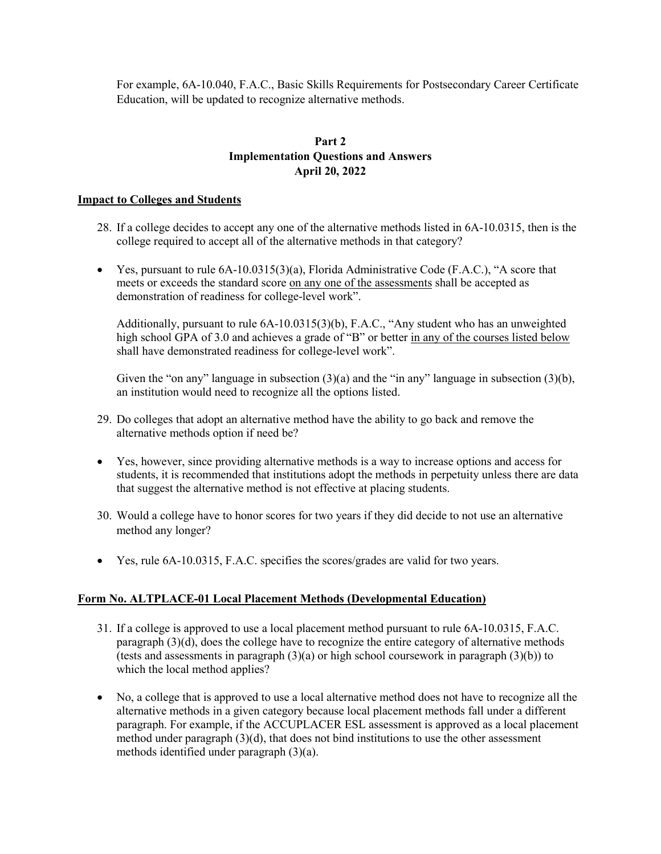For example, 6A-10.040, F.A.C., Basic Skills Requirements for Postsecondary Career Certificate Education, will be updated to recognize alternative methods.

### **Part 2 Implementation Questions and Answers April 20, 2022**

#### **Impact to Colleges and Students**

- 28. If a college decides to accept any one of the alternative methods listed in 6A-10.0315, then is the college required to accept all of the alternative methods in that category?
- Yes, pursuant to rule  $6A-10.0315(3)(a)$ , Florida Administrative Code (F.A.C.), "A score that meets or exceeds the standard score on any one of the assessments shall be accepted as demonstration of readiness for college-level work".

Additionally, pursuant to rule 6A-10.0315(3)(b), F.A.C., "Any student who has an unweighted high school GPA of 3.0 and achieves a grade of "B" or better in any of the courses listed below shall have demonstrated readiness for college-level work".

Given the "on any" language in subsection (3)(a) and the "in any" language in subsection (3)(b), an institution would need to recognize all the options listed.

- 29. Do colleges that adopt an alternative method have the ability to go back and remove the alternative methods option if need be?
- Yes, however, since providing alternative methods is a way to increase options and access for students, it is recommended that institutions adopt the methods in perpetuity unless there are data that suggest the alternative method is not effective at placing students.
- 30. Would a college have to honor scores for two years if they did decide to not use an alternative method any longer?
- Yes, rule  $6A-10.0315$ , F.A.C. specifies the scores/grades are valid for two years.

#### **Form No. ALTPLACE-01 Local Placement Methods (Developmental Education)**

- 31. If a college is approved to use a local placement method pursuant to rule 6A-10.0315, F.A.C. paragraph (3)(d), does the college have to recognize the entire category of alternative methods (tests and assessments in paragraph  $(3)(a)$  or high school coursework in paragraph  $(3)(b)$ ) to which the local method applies?
- No, a college that is approved to use a local alternative method does not have to recognize all the alternative methods in a given category because local placement methods fall under a different paragraph. For example, if the ACCUPLACER ESL assessment is approved as a local placement method under paragraph (3)(d), that does not bind institutions to use the other assessment methods identified under paragraph (3)(a).